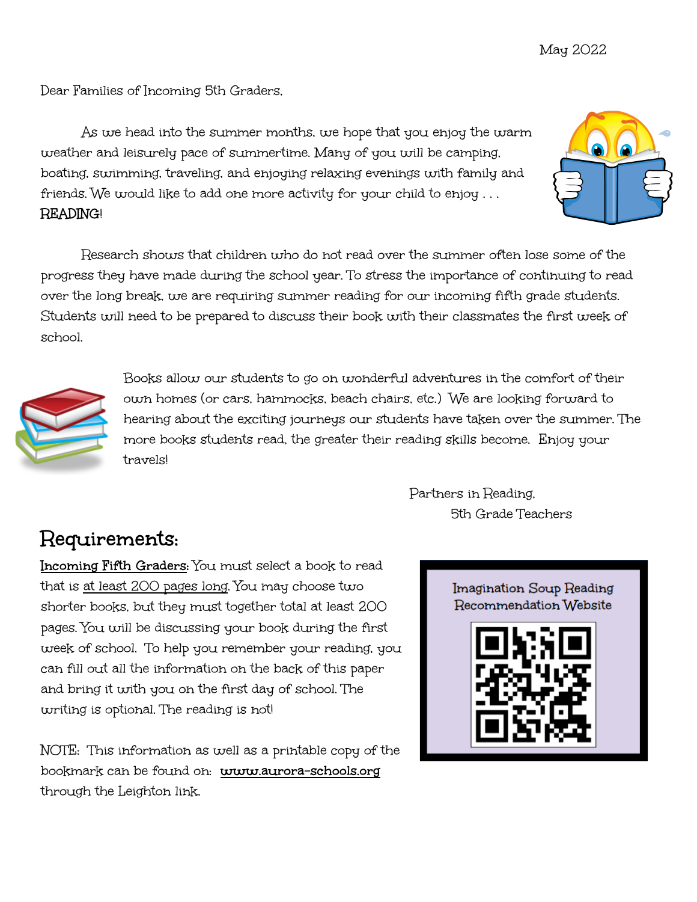Dear Families of Incoming 5th Graders,

As we head into the summer months, we hope that you enjoy the warm weather and leisurely pace of summertime. Many of you will be camping, boating, swimming, traveling, and enjoying relaxing evenings with family and friends. We would like to add one more activity for your child to enjoy . . . **READING**!

Research shows that children who do not read over the summer often lose some of the progress they have made during the school year. To stress the importance of continuing to read over the long break, we are requiring summer reading for our incoming fifth grade students. Students will need to be prepared to discuss their book with their classmates the first week of school.



Books allow our students to go on wonderful adventures in the comfort of their own homes (or cars, hammocks, beach chairs, etc.) We are looking forward to hearing about the exciting journeys our students have taken over the summer. The more books students read, the greater their reading skills become. Enjoy your travels!

> Partners in Reading, 5th Grade Teachers

## **Requirements:**

**Incoming Fifth Graders:** You must select a book to read that is at least 200 pages long. You may choose two shorter books, but they must together total at least 200 pages. You will be discussing your book during the first week of school. To help you remember your reading, you can fill out all the information on the back of this paper and bring it with you on the first day of school. The writing is optional. The reading is not!

NOTE: This information as well as a printable copy of the bookmark can be found on: **www.aurora-schools.org** through the Leighton link.